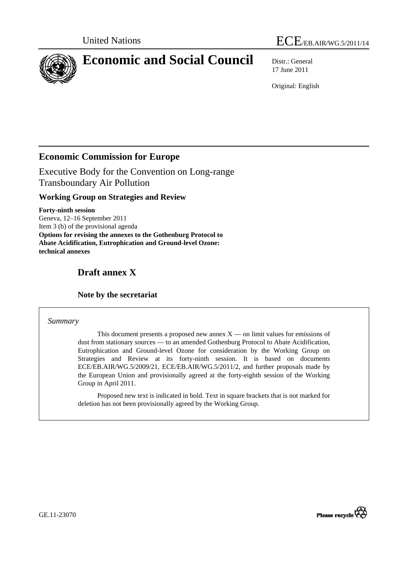



# **Economic and Social Council** Distr.: General

17 June 2011

Original: English

# **Economic Commission for Europe**

Executive Body for the Convention on Long-range Transboundary Air Pollution

## **Working Group on Strategies and Review**

**Forty-ninth session**  Geneva, 12–16 September 2011 Item 3 (b) of the provisional agenda **Options for revising the annexes to the Gothenburg Protocol to Abate Acidification, Eutrophication and Ground-level Ozone: technical annexes** 

# **Draft annex X**

## **Note by the secretariat**

## *Summary*

This document presents a proposed new annex  $X$  — on limit values for emissions of dust from stationary sources — to an amended Gothenburg Protocol to Abate Acidification, Eutrophication and Ground-level Ozone for consideration by the Working Group on Strategies and Review at its forty-ninth session. It is based on documents ECE/EB.AIR/WG.5/2009/21, ECE/EB.AIR/WG.5/2011/2, and further proposals made by the European Union and provisionally agreed at the forty-eighth session of the Working Group in April 2011.

 Proposed new text is indicated in bold. Text in square brackets that is not marked for deletion has not been provisionally agreed by the Working Group.



GE.11-23070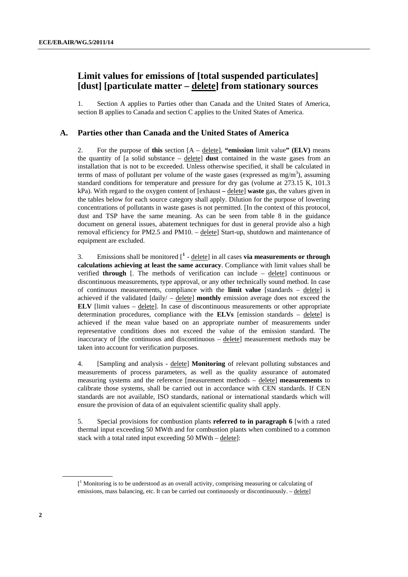# <span id="page-1-0"></span> **Limit values for emissions of [total suspended particulates] [dust] [particulate matter – delete] from stationary sources**

1. Section A applies to Parties other than Canada and the United States of America, section B applies to Canada and section C applies to the United States of America.

#### **A. Parties other than Canada and the United States of America**

2. For the purpose of **this** section [A – delete], **"emission** limit value**" (ELV)** means the quantity of [a solid substance – delete] **dust** contained in the waste gases from an installation that is not to be exceeded. Unless otherwise specified, it shall be calculated in terms of mass of pollutant per volume of the waste gases (expressed as  $mg/m<sup>3</sup>$ ), assuming standard conditions for temperature and pressure for dry gas (volume at 273.15 K, 101.3 kPa). With regard to the oxygen content of [exhaust **–** delete] **waste** gas, the values given in the tables below for each source category shall apply. Dilution for the purpose of lowering concentrations of pollutants in waste gases is not permitted. [In the context of this protocol, dust and TSP have the same meaning. As can be seen from table 8 in the guidance document on general issues, abatement techniques for dust in general provide also a high removal efficiency for PM2.5 and PM10. – delete] Start-up, shutdown and maintenance of equipment are excluded.

3. Emissions shall be monitored  $\left[\begin{array}{c} 1 \end{array} \right]$  $\left[\begin{array}{c} 1 \end{array} \right]$  $\left[\begin{array}{c} 1 \end{array} \right]$  - delete  $\left[\begin{array}{c} 1 \end{array} \right]$  in all cases **via measurements or through calculations achieving at least the same accuracy**. Compliance with limit values shall be verified **through** [. The methods of verification can include – delete] continuous or discontinuous measurements, type approval, or any other technically sound method. In case of continuous measurements, compliance with the **limit value** [standards – delete] is achieved if the validated  $\left[ \frac{d \text{div}}{ } \right]$  –  $\frac{d \text{det}}{ }$  **monthly** emission average does not exceed the **ELV** [limit values – delete]. In case of discontinuous measurements or other appropriate determination procedures, compliance with the **ELVs** [emission standards  $-$  delete] is achieved if the mean value based on an appropriate number of measurements under representative conditions does not exceed the value of the emission standard. The inaccuracy of [the continuous and discontinuous – delete] measurement methods may be taken into account for verification purposes.

4. [Sampling and analysis - delete] **Monitoring** of relevant polluting substances and measurements of process parameters, as well as the quality assurance of automated measuring systems and the reference [measurement methods – delete] **measurements** to calibrate those systems, shall be carried out in accordance with CEN standards. If CEN standards are not available, ISO standards, national or international standards which will ensure the provision of data of an equivalent scientific quality shall apply.

5. Special provisions for combustion plants **referred to in paragraph 6** [with a rated thermal input exceeding 50 MWth and for combustion plants when combined to a common stack with a total rated input exceeding 50 MWth – delete]:

<sup>[</sup>*[*]  $<sup>1</sup>$  Monitoring is to be understood as an overall activity, comprising measuring or calculating of</sup> emissions, mass balancing, etc. It can be carried out continuously or discontinuously. – delete]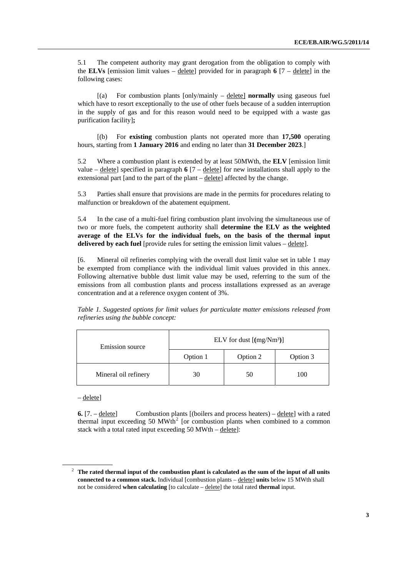5.1 The competent authority may grant derogation from the obligation to comply with the **ELVs** [emission limit values –  $\frac{\text{delete}}{\text{detect}}$  provided for in paragraph 6  $[7 - \frac{\text{delete}}{\text{det}}]$  in the following cases:

 [(a) For combustion plants [only/mainly – delete] **normally** using gaseous fuel which have to resort exceptionally to the use of other fuels because of a sudden interruption in the supply of gas and for this reason would need to be equipped with a waste gas purification facility]**;** 

 [(b) For **existing** combustion plants not operated more than **17,500** operating hours, starting from **1 January 2016** and ending no later than **31 December 2023**.]

<span id="page-2-0"></span>5.2 Where a combustion plant is extended by at least 50MWth, the **ELV** [emission limit value – delete] specified in paragraph **6** [7 – delete] for new installations shall apply to the extensional part [and to the part of the plant – delete] affected by the change.

5.3 Parties shall ensure that provisions are made in the permits for procedures relating to malfunction or breakdown of the abatement equipment.

5.4 In the case of a multi-fuel firing combustion plant involving the simultaneous use of two or more fuels, the competent authority shall **determine the ELV as the weighted average of the ELVs for the individual fuels, on the basis of the thermal input delivered by each fuel** [provide rules for setting the emission limit values – delete].

[6. Mineral oil refineries complying with the overall dust limit value set in table 1 may be exempted from compliance with the individual limit values provided in this annex. Following alternative bubble dust limit value may be used, referring to the sum of the emissions from all combustion plants and process installations expressed as an average concentration and at a reference oxygen content of 3%.

*Table 1. Suggested options for limit values for particulate matter emissions released from refineries using the bubble concept:* 

| Emission source      | ELV for dust $[(mg/Nm3)]$ |          |          |
|----------------------|---------------------------|----------|----------|
|                      | Option 1                  | Option 2 | Option 3 |
| Mineral oil refinery | 30                        | 50       | 100      |

– delete]

**6.** [7. – delete] Combustion plants [(boilers and process heaters) – delete] with a rated thermal input exceeding 50  $MWh^2$  $MWh^2$  [or combustion plants when combined to a common stack with a total rated input exceeding 50 MWth – delete]:

<sup>&</sup>lt;sup>2</sup> The rated thermal input of the combustion plant is calculated as the sum of the input of all units **connected to a common stack.** Individual [combustion plants – delete] **units** below 15 MWth shall not be considered **when calculating** [to calculate – delete] the total rated **thermal** input.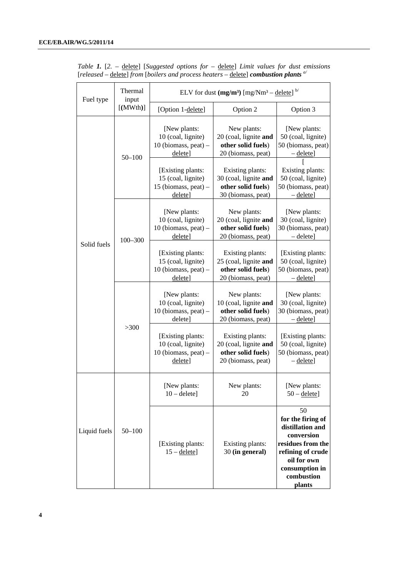| Fuel type    | Thermal<br>input |                                                                                                                                                         | ELV for dust $(mg/m^3)$ [mg/Nm <sup>3</sup> – delete] <sup>b/</sup>                                                                                                       |                                                                                                                                                              |
|--------------|------------------|---------------------------------------------------------------------------------------------------------------------------------------------------------|---------------------------------------------------------------------------------------------------------------------------------------------------------------------------|--------------------------------------------------------------------------------------------------------------------------------------------------------------|
|              | $[$ (MWth)]      | [Option 1-delete]                                                                                                                                       | Option 2                                                                                                                                                                  | Option 3                                                                                                                                                     |
|              | $50 - 100$       | [New plants:<br>10 (coal, lignite)<br>$10$ (biomass, peat) –<br>delete]<br>[Existing plants:<br>15 (coal, lignite)<br>15 (biomass, peat) $-$<br>delete] | New plants:<br>20 (coal, lignite and<br>other solid fuels)<br>20 (biomass, peat)<br>Existing plants:<br>30 (coal, lignite and<br>other solid fuels)<br>30 (biomass, peat) | [New plants:<br>50 (coal, lignite)<br>50 (biomass, peat)<br>$-\text{delete}$<br>Existing plants:<br>50 (coal, lignite)<br>50 (biomass, peat)<br>- delete]    |
|              | $100 - 300$      | [New plants:<br>10 (coal, lignite)<br>$10$ (biomass, peat) $-$<br>delete]                                                                               | New plants:<br>20 (coal, lignite and<br>other solid fuels)<br>20 (biomass, peat)                                                                                          | [New plants:<br>30 (coal, lignite)<br>30 (biomass, peat)<br>$-\text{delete}$                                                                                 |
| Solid fuels  |                  | [Existing plants:<br>15 (coal, lignite)<br>$10$ (biomass, peat) –<br>delete]                                                                            | Existing plants:<br>25 (coal, lignite and<br>other solid fuels)<br>20 (biomass, peat)                                                                                     | [Existing plants:<br>50 (coal, lignite)<br>50 (biomass, peat)<br>$-\text{delete}$                                                                            |
|              |                  | [New plants:<br>10 (coal, lignite)<br>10 (biomass, peat) -<br>delete]                                                                                   | New plants:<br>10 (coal, lignite and<br>other solid fuels)<br>20 (biomass, peat)                                                                                          | [New plants:<br>30 (coal, lignite)<br>30 (biomass, peat)<br>$-\text{delete}$                                                                                 |
|              | >300             | [Existing plants:<br>10 (coal, lignite)<br>$10$ (biomass, peat) –<br>delete]                                                                            | Existing plants:<br>20 (coal, lignite and<br>other solid fuels)<br>20 (biomass, peat)                                                                                     | [Existing plants:<br>50 (coal, lignite)<br>50 (biomass, peat)<br>$-\underline{\text{delete}}$                                                                |
|              |                  | [New plants:<br>$10 -$ delete]                                                                                                                          | New plants:<br>20                                                                                                                                                         | [New plants:<br>$50 -$ delete]                                                                                                                               |
| Liquid fuels | $50 - 100$       | [Existing plants:<br>$15 -$ delete]                                                                                                                     | Existing plants:<br>30 (in general)                                                                                                                                       | 50<br>for the firing of<br>distillation and<br>conversion<br>residues from the<br>refining of crude<br>oil for own<br>consumption in<br>combustion<br>plants |

*Table 1.* [*2.* – delete] [*Suggested options for* – delete] *Limit values for dust emissions*  [*released* – delete] *from* [*boilers and process heaters* – delete] *combustion plants a/*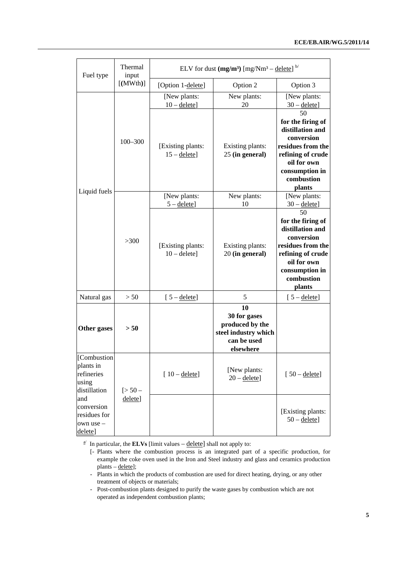| Fuel type                                                       | Thermal<br>input | ELV for dust $(mg/m^3)$ [mg/Nm <sup>3</sup> – delete] <sup>b/</sup> |                                                                                           |                                                                                                                                                              |
|-----------------------------------------------------------------|------------------|---------------------------------------------------------------------|-------------------------------------------------------------------------------------------|--------------------------------------------------------------------------------------------------------------------------------------------------------------|
|                                                                 | [ (MWth) ]       | [Option 1-delete]                                                   | Option 2                                                                                  | Option 3                                                                                                                                                     |
|                                                                 |                  | [New plants:<br>$10 -$ delete]                                      | New plants:<br>20                                                                         | [New plants:<br>$30 -$ delete]                                                                                                                               |
| Liquid fuels                                                    | $100 - 300$      | [Existing plants:<br>$15 -$ delete]                                 | Existing plants:<br>25 (in general)                                                       | 50<br>for the firing of<br>distillation and<br>conversion<br>residues from the<br>refining of crude<br>oil for own<br>consumption in<br>combustion<br>plants |
|                                                                 |                  | [New plants:<br>$5 -$ delete]                                       | New plants:<br>10                                                                         | [New plants:<br>$30 -$ delete]                                                                                                                               |
|                                                                 | >300             | [Existing plants:<br>$10 -$ delete]                                 | Existing plants:<br>20 (in general)                                                       | 50<br>for the firing of<br>distillation and<br>conversion<br>residues from the<br>refining of crude<br>oil for own<br>consumption in<br>combustion<br>plants |
| Natural gas                                                     | > 50             | $[5 -$ delete]                                                      | 5                                                                                         | $[5 -$ delete]                                                                                                                                               |
| Other gases                                                     | > 50             |                                                                     | 10<br>30 for gases<br>produced by the<br>steel industry which<br>can be used<br>elsewhere |                                                                                                                                                              |
| [Combustion<br>plants in<br>refineries<br>using<br>distillation | $[>50-$          | $[10 - \text{delete}]$                                              | [New plants:<br>$20 -$ delete]                                                            | $[50 - \text{delete}]$                                                                                                                                       |
| and<br>conversion<br>residues for<br>own use -<br>delete]       | delete]          |                                                                     |                                                                                           | [Existing plants:<br>$50 -$ delete]                                                                                                                          |

 $\frac{a}{a}$  In particular, the **ELVs** [limit values – delete] shall not apply to:

 <sup>[-</sup> Plants where the combustion process is an integrated part of a specific production, for example the coke oven used in the Iron and Steel industry and glass and ceramics production plants – delete];

 <sup>-</sup> Plants in which the products of combustion are used for direct heating, drying, or any other treatment of objects or materials;

<sup>-</sup> Post-combustion plants designed to purify the waste gases by combustion which are not operated as independent combustion plants;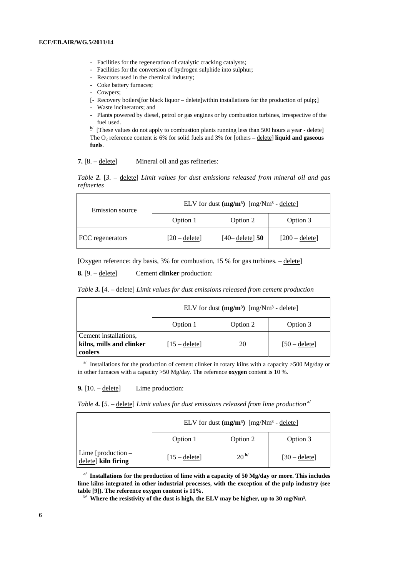- Facilities for the regeneration of catalytic cracking catalysts;
- Facilities for the conversion of hydrogen sulphide into sulphur;
- Reactors used in the chemical industry;
- Coke battery furnaces;
- Cowpers;
- [- Recovery boilers[for black liquor delete]within installations for the production of pulp**;**]
- Waste incinerators; and
- Plant**s** powered by diesel, petrol or gas engines or by combustion turbines, irrespective of the fuel used.

 $b$  [These values do not apply to combustion plants running less than 500 hours a year - delete] The  $O_2$  reference content is 6% for solid fuels and 3% for [others –  $delete$ ] **liquid and gaseous**</u> **fuels**.

**7.** [8. – delete] Mineral oil and gas refineries:

*Table 2.* [*3.* – delete] *Limit values for dust emissions released from mineral oil and gas refineries* 

| Emission source  | ELV for dust $(mg/m^3)$ $[mg/Nm^3 -$ delete] |                    |                  |
|------------------|----------------------------------------------|--------------------|------------------|
|                  | Option 1                                     | Option 2           | Option 3         |
| FCC regenerators | $[20 -$ delete]                              | $[40 -$ delete] 50 | $[200 -$ delete] |

[Oxygen reference: dry basis, 3% for combustion, 15 % for gas turbines. – delete]

**8.** [9. – delete] Cement **clinker** production:

*Table 3.* [*4.* – delete] *Limit values for dust emissions released from cement production* 

|                                                              | ELV for dust $(mg/m^3)$ $[mg/Nm^3 -$ delete |          |                 |
|--------------------------------------------------------------|---------------------------------------------|----------|-----------------|
|                                                              | Option 1                                    | Option 2 | Option 3        |
| Cement installations,<br>kilns, mills and clinker<br>coolers | $[15 -$ delete]                             | 20       | $[50 -$ delete] |

<sup>a/</sup> Installations for the production of cement clinker in rotary kilns with a capacity  $>500$  Mg/day or in other furnaces with a capacity >50 Mg/day. The reference **oxygen** content is 10 %.

**9.**  $[10. - \text{delete}]$  Lime production:

*Table 4.* [*5.* – delete] *Limit values for dust emissions released from lime production* **a/**

|                                             | ELV for dust $(mg/m^3)$ $[mg/Nm^3 -$ delete] |                   |                 |
|---------------------------------------------|----------------------------------------------|-------------------|-----------------|
|                                             | Option 1                                     | Option 2          | Option 3        |
| Lime [production $-$<br>delete] kiln firing | $[15 - \text{delete}]$                       | 20 <sup> b/</sup> | $[30 -$ delete] |

**a/ Installations for the production of lime with a capacity of 50 Mg/day or more. This includes lime kilns integrated in other industrial processes, with the exception of the pulp industry (see** 

<sup>b/</sup> Where the resistivity of the dust is high, the ELV may be higher, up to 30 mg/Nm<sup>3</sup>.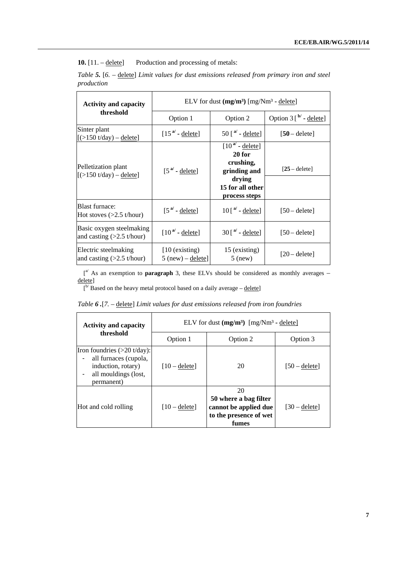10. [11. – delete] Production and processing of metals:

*Table 5.* [*6.* – delete] *Limit values for dust emissions released from primary iron and steel production*

| <b>Activity and capacity</b>                                     |                                         | ELV for dust $(mg/m^3)$ [mg/Nm <sup>3</sup> - delete]                                                                 |                               |  |
|------------------------------------------------------------------|-----------------------------------------|-----------------------------------------------------------------------------------------------------------------------|-------------------------------|--|
| threshold                                                        | Option 1                                | Option 2                                                                                                              | Option $3 \int^{b/-}$ delete] |  |
| Sinter plant<br>$[$ (>150 t/day) – delete]                       | $[15^{\mathsf{a}} \cdot \text{delete}]$ | $50$ [ $a$ <sup><math>\prime</math></sup> - delete]                                                                   | $[50 -$ delete]               |  |
| Pelletization plant<br>$[5150 \frac{t}{day} - \frac{delete}{y}]$ | $[5^{\mathsf{a}}]$ - delete]            | $[10^{a'} \cdot \text{delete}]$<br>20 for<br>crushing,<br>grinding and<br>drying<br>15 for all other<br>process steps | $[25 - delete]$               |  |
| <b>Blast furnace:</b><br>Hot stoves $(>2.5$ t/hour)              | $[5^{a'} \cdot \text{delete}]$          | $10\left[\right]$ <sup>a'</sup> - delete]                                                                             | $[50 -$ delete]               |  |
| Basic oxygen steelmaking<br>and casting $(>2.5$ t/hour)          | $[10^{a'} \cdot$ delete]                | $30$ [ $a$ <sup><math>\prime</math></sup> - delete]                                                                   | $[50 -$ delete]               |  |
| Electric steelmaking<br>and casting $(>2.5$ t/hour)              | $[10$ (existing)<br>$5$ (new) – delete] | 15 (existing)<br>$5$ (new)                                                                                            | $[20 -$ deletel               |  |

 $\int_0^{a'}$  As an exemption to **paragraph** 3, these ELVs should be considered as monthly averages – delete]

 $[$ <sup>b</sup>/Based on the heavy metal protocol based on a daily average – delete]

| <b>Activity and capacity</b>                                                                                                | ELV for dust $(mg/m^3)$ $[mg/Nm^3 -$ delete] |                                                                                         |                 |
|-----------------------------------------------------------------------------------------------------------------------------|----------------------------------------------|-----------------------------------------------------------------------------------------|-----------------|
| threshold                                                                                                                   | Option 1                                     | Option 2                                                                                | Option 3        |
| Iron foundries $(>20 \text{ t/day})$ :<br>all furnaces (cupola,<br>induction, rotary)<br>all mouldings (lost,<br>permanent) | $[10 -$ delete]                              | 20                                                                                      | $[50 -$ deletel |
| Hot and cold rolling                                                                                                        | $[10 -$ deletel                              | 20<br>50 where a bag filter<br>cannot be applied due<br>to the presence of wet<br>fumes | $[30 -$ deletel |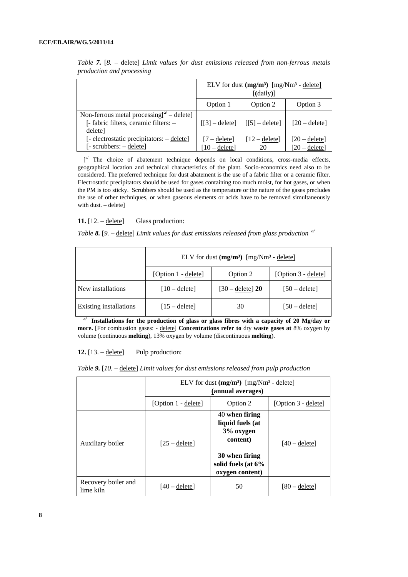|                                                                                                              | ELV for dust $(mg/m^3)$ $[mg/Nm^3 -$ delete]<br>$[$ (daily) $]$ |                              |                                    |
|--------------------------------------------------------------------------------------------------------------|-----------------------------------------------------------------|------------------------------|------------------------------------|
|                                                                                                              | Option 1                                                        | Option 2                     | Option 3                           |
| Non-ferrous metal processing $\int_0^{\alpha}$ – delete]<br>[- fabric filters, ceramic filters: -<br>delete] | $\lfloor 3 \rfloor$ – delete]                                   | $\lfloor 5 \rfloor$ – delete | $[20 - \text{delete}]$             |
| [- electrostatic precipitators: - delete]<br>[- scrubbers: - delete]                                         | $[7 -$ delete]<br>$[10 -$ delete]                               | $[12 - \text{delete}]$<br>20 | $[20 -$ delete]<br>$[20 -$ delete] |

*Table 7.* [*8.* – delete] *Limit values for dust emissions released from non-ferrous metals production and processing* 

 $\left[ \begin{matrix} a' \\ b \end{matrix} \right]$  The choice of abatement technique depends on local conditions, cross-media effects, geographical location and technical characteristics of the plant. Socio-economics need also to be considered. The preferred technique for dust abatement is the use of a fabric filter or a ceramic filter. Electrostatic precipitators should be used for gases containing too much moist, for hot gases, or when the PM is too sticky. Scrubbers should be used as the temperature or the nature of the gases precludes the use of other techniques, or when gaseous elements or acids have to be removed simultaneously with dust. - delete]

#### **11.**  $[12. - \text{delete}]$  Glass production:

*Table 8.* [9. – delete] Limit values for dust emissions released from glass production  $\alpha$ <sup>*'</sup>*</sup>

|                        | ELV for dust $(mg/m^3)$ $[mg/Nm^3 -$ delete] |                           |                     |
|------------------------|----------------------------------------------|---------------------------|---------------------|
|                        | [Option 1 - delete]                          | Option 2                  | [Option 3 - delete] |
| New installations      | $[10 -$ delete]                              | $[30 - \text{delete}]$ 20 | $[50 -$ delete]     |
| Existing installations | $[15 -$ delete]                              | 30                        | $[50 -$ delete]     |

<sup>a</sup>/ Installations for the production of glass or glass fibres with a capacity of 20 Mg/day or **more.** [For combustion gases: - delete] **Concentrations refer to** dry **waste gases at** 8% oxygen by volume (continuous **melting**), 13% oxygen by volume (discontinuous **melting**).

**12.**  $[13. - \text{delete}]$  Pulp production:

*Table 9.* [*10.* – delete] *Limit values for dust emissions released from pulp production*

|                                  | ELV for dust $(mg/m^3)$ $[mg/Nm^3 -$ delete]<br>(annual averages) |                                                             |                     |
|----------------------------------|-------------------------------------------------------------------|-------------------------------------------------------------|---------------------|
|                                  | [Option 1 - delete]                                               | Option 2                                                    | [Option 3 - delete] |
| Auxiliary boiler                 | $[25 - \text{delete}]$                                            | 40 when firing<br>liquid fuels (at<br>3% oxygen<br>content) | $[40 -$ delete]     |
|                                  |                                                                   | 30 when firing<br>solid fuels (at $6\%$<br>oxygen content)  |                     |
| Recovery boiler and<br>lime kiln | $[40 -$ deletel                                                   | 50                                                          | $[80 -$ deletel     |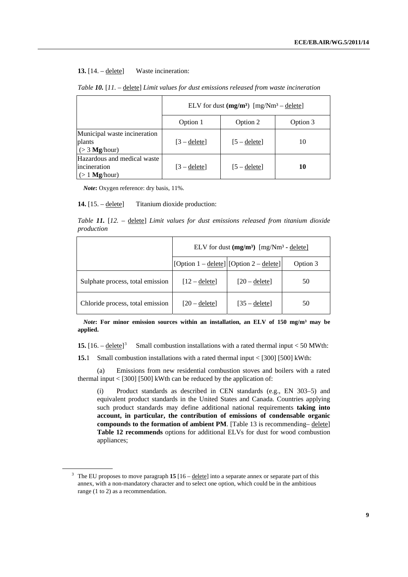#### 13. [14. – delete] Waste incineration:

|                                                                | ELV for dust $(mg/m^3)$ [mg/Nm <sup>3</sup> – delete] |                |          |
|----------------------------------------------------------------|-------------------------------------------------------|----------------|----------|
|                                                                | Option 1                                              | Option 2       | Option 3 |
| Municipal waste incineration<br>plants<br>$(>3$ Mg/hour)       | $[3 -$ delete]                                        | $[5 -$ delete] | 10       |
| Hazardous and medical waste<br>lincineration<br>$(>1$ Mg/hour) | $[3 -$ delete]                                        | $[5 -$ delete] | 10       |

#### *Table 10.* [*11.* – delete] *Limit values for dust emissions released from waste incineration*

<span id="page-8-0"></span>*Note***:** Oxygen reference: dry basis, 11%.

#### **14.** [15. – delete] Titanium dioxide production:

*Table 11.* [*12.* – delete] *Limit values for dust emissions released from titanium dioxide production*

|                                  | ELV for dust $(mg/m^3)$ [mg/Nm <sup>3</sup> - delete] |                        |          |
|----------------------------------|-------------------------------------------------------|------------------------|----------|
|                                  | [Option 1 – delete] [Option 2 – delete]               |                        | Option 3 |
| Sulphate process, total emission | $[12 -$ delete]                                       | $[20 -$ delete]        | 50       |
| Chloride process, total emission | $[20 -$ delete]                                       | $[35 - \text{delete}]$ | 50       |

*Note***:** For minor emission sources within an installation, an ELV of 150 mg/m<sup>3</sup> may be **applied.** 

**15.** [16. – delete] [3](#page-8-0) Small combustion installations with a rated thermal input < 50 MWth:

**15.**1 Small combustion installations with a rated thermal input < [300] [500] kWth:

 (a) Emissions from new residential combustion stoves and boilers with a rated thermal input  $\langle 500|1500|$  kWth can be reduced by the application of:

(i) Product standards as described in CEN standards (e.g., EN 303–5) and equivalent product standards in the United States and Canada. Countries applying such product standards may define additional national requirements **taking into account, in particular, the contribution of emissions of condensable organic compounds to the formation of ambient PM**. [Table 13 is recommending– delete] **Table 12 recommends** options for additional ELVs for dust for wood combustion appliances;

<sup>3</sup> The EU proposes to move paragraph **15** [16 – delete] into a separate annex or separate part of this annex, with a non-mandatory character and to select one option, which could be in the ambitious range (1 to 2) as a recommendation.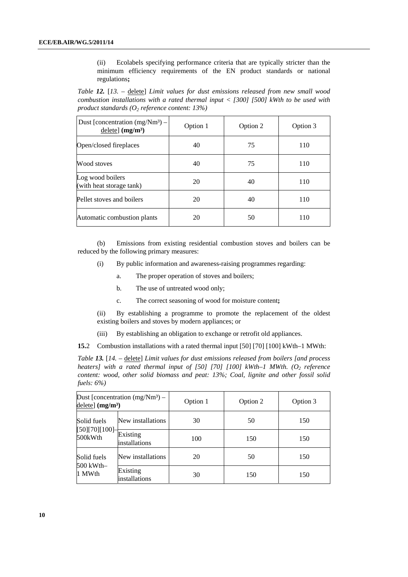(ii) Ecolabels specifying performance criteria that are typically stricter than the minimum efficiency requirements of the EN product standards or national regulations**;** 

*Table 12.* [*13.* – delete] *Limit values for dust emissions released from new small wood combustion installations with a rated thermal input < [300] [500] kWth to be used with product standards (O<sub>2</sub> reference content: 13%)* 

| Dust [concentration $(mg/Nm^3)$ –<br>$delete]$ (mg/m <sup>3</sup> ) | Option 1 | Option 2 | Option 3 |
|---------------------------------------------------------------------|----------|----------|----------|
| Open/closed fireplaces                                              | 40       | 75       | 110      |
| Wood stoves                                                         | 40       | 75       | 110      |
| Log wood boilers<br>(with heat storage tank)                        | 20       | 40       | 110      |
| Pellet stoves and boilers                                           | 20       | 40       | 110      |
| Automatic combustion plants                                         | 20       | 50       | 110      |

 (b) Emissions from existing residential combustion stoves and boilers can be reduced by the following primary measures:

- (i) By public information and awareness-raising programmes regarding:
	- a. The proper operation of stoves and boilers;
	- b. The use of untreated wood only;
	- c. The correct seasoning of wood for moisture content**;**

(ii) By establishing a programme to promote the replacement of the oldest existing boilers and stoves by modern appliances; or

(iii) By establishing an obligation to exchange or retrofit old appliances.

**15.**2 Combustion installations with a rated thermal input [50] [70] [100] kWth–1 MWth:

*Table 13.* [*14.* – delete] *Limit values for dust emissions released from boilers [and process heaters]* with a rated thermal input of [50] [70] [100] kWth–1 MWth. (O<sub>2</sub> reference *content: wood, other solid biomass and peat: 13%; Coal, lignite and other fossil solid fuels: 6%)* 

| Dust [concentration $(mg/Nm^3)$ –<br>delete] $(mg/m3)$ |                           | Option 1 | Option 2 | Option 3 |
|--------------------------------------------------------|---------------------------|----------|----------|----------|
| Solid fuels<br>[50][70][100]<br>500kWth                | New installations         | 30       | 50       | 150      |
|                                                        | Existing<br>installations | 100      | 150      | 150      |
| Solid fuels<br>500 kWth-<br>1 MWth                     | New installations         | 20       | 50       | 150      |
|                                                        | Existing<br>installations | 30       | 150      | 150      |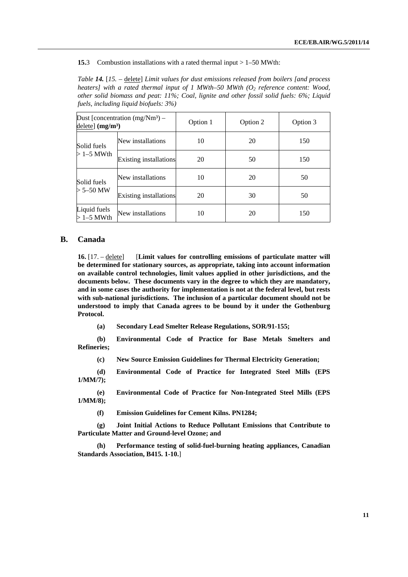**15.**3 Combustion installations with a rated thermal input > 1–50 MWth:

*Table 14.* [*15.* – delete] *Limit values for dust emissions released from boilers [and process heaters] with a rated thermal input of 1 MWth–50 MWth (O<sub>2</sub> reference content: Wood, other solid biomass and peat: 11%; Coal, lignite and other fossil solid fuels: 6%; Liquid fuels, including liquid biofuels: 3%)* 

| Dust [concentration $(mg/Nm^3)$ –<br>$delete]$ (mg/m <sup>3</sup> ) |                               | Option 1 | Option 2 | Option 3 |
|---------------------------------------------------------------------|-------------------------------|----------|----------|----------|
| Solid fuels<br>$>1-5$ MWth                                          | New installations             | 10       | 20       | 150      |
|                                                                     | Existing installations        | 20       | 50       | 150      |
| Solid fuels<br>$> 5 - 50$ MW                                        | New installations             | 10       | 20       | 50       |
|                                                                     | <b>Existing installations</b> | 20       | 30       | 50       |
| Liquid fuels<br>$>1-5$ MWth                                         | New installations             | 10       | 20       | 150      |

## **B. Canada**

**16.** [17. – delete] [**Limit values for controlling emissions of particulate matter will be determined for stationary sources, as appropriate, taking into account information on available control technologies, limit values applied in other jurisdictions, and the documents below. These documents vary in the degree to which they are mandatory, and in some cases the authority for implementation is not at the federal level, but rests with sub-national jurisdictions. The inclusion of a particular document should not be understood to imply that Canada agrees to be bound by it under the Gothenburg Protocol.** 

**(a) Secondary Lead Smelter Release Regulations, SOR/91-155;** 

**(b) Environmental Code of Practice for Base Metals Smelters and Refineries;** 

**(c) New Source Emission Guidelines for Thermal Electricity Generation;** 

**(d) Environmental Code of Practice for Integrated Steel Mills (EPS 1/MM/7);** 

**(e) Environmental Code of Practice for Non-Integrated Steel Mills (EPS 1/MM/8);** 

**(f) Emission Guidelines for Cement Kilns. PN1284;** 

**(g) [Joint Initial Actions to Reduce Pollutant Emissions that Contribute to](http://www.ccme.ca/assets/pdf/pmozone_joint_actions_e.pdf)  [Particulate Matter and Ground-level Ozone;](http://www.ccme.ca/assets/pdf/pmozone_joint_actions_e.pdf) and** 

**(h) Performance testing of solid-fuel-burning heating appliances, Canadian Standards Association, B415. 1-10.**]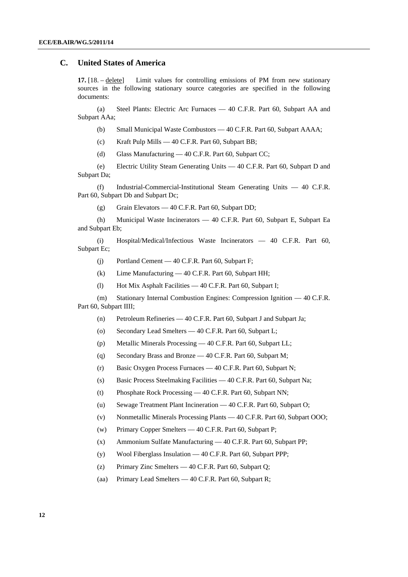### **C. United States of America**

**17.** [18. – delete] Limit values for controlling emissions of PM from new stationary sources in the following stationary source categories are specified in the following documents:

 (a) Steel Plants: Electric Arc Furnaces — 40 C.F.R. Part 60, Subpart AA and Subpart AAa;

- (b) Small Municipal Waste Combustors 40 C.F.R. Part 60, Subpart AAAA;
- (c) Kraft Pulp Mills 40 C.F.R. Part 60, Subpart BB;
- (d) Glass Manufacturing 40 C.F.R. Part 60, Subpart CC;

 (e) Electric Utility Steam Generating Units — 40 C.F.R. Part 60, Subpart D and Subpart Da;

 (f) Industrial-Commercial-Institutional Steam Generating Units — 40 C.F.R. Part 60, Subpart Db and Subpart Dc;

(g) Grain Elevators — 40 C.F.R. Part 60, Subpart DD;

 (h) Municipal Waste Incinerators — 40 C.F.R. Part 60, Subpart E, Subpart Ea and Subpart Eb;

 (i) Hospital/Medical/Infectious Waste Incinerators — 40 C.F.R. Part 60, Subpart Ec;

- (j) Portland Cement 40 C.F.R. Part 60, Subpart F;
- (k) Lime Manufacturing 40 C.F.R. Part 60, Subpart HH;
- (l) Hot Mix Asphalt Facilities 40 C.F.R. Part 60, Subpart I;

 (m) Stationary Internal Combustion Engines: Compression Ignition — 40 C.F.R. Part 60, Subpart IIII;

- (n) Petroleum Refineries 40 C.F.R. Part 60, Subpart J and Subpart Ja;
- (o) Secondary Lead Smelters 40 C.F.R. Part 60, Subpart L;
- (p) Metallic Minerals Processing 40 C.F.R. Part 60, Subpart LL;
- (q) Secondary Brass and Bronze 40 C.F.R. Part 60, Subpart M;
- (r) Basic Oxygen Process Furnaces 40 C.F.R. Part 60, Subpart N;
- (s) Basic Process Steelmaking Facilities 40 C.F.R. Part 60, Subpart Na;
- (t) Phosphate Rock Processing 40 C.F.R. Part 60, Subpart NN;
- (u) Sewage Treatment Plant Incineration 40 C.F.R. Part 60, Subpart O;
- (v) Nonmetallic Minerals Processing Plants 40 C.F.R. Part 60, Subpart OOO;
- (w) Primary Copper Smelters 40 C.F.R. Part 60, Subpart P;
- (x) Ammonium Sulfate Manufacturing 40 C.F.R. Part 60, Subpart PP;
- (y) Wool Fiberglass Insulation 40 C.F.R. Part 60, Subpart PPP;
- (z) Primary Zinc Smelters 40 C.F.R. Part 60, Subpart Q;
- (aa) Primary Lead Smelters 40 C.F.R. Part 60, Subpart R;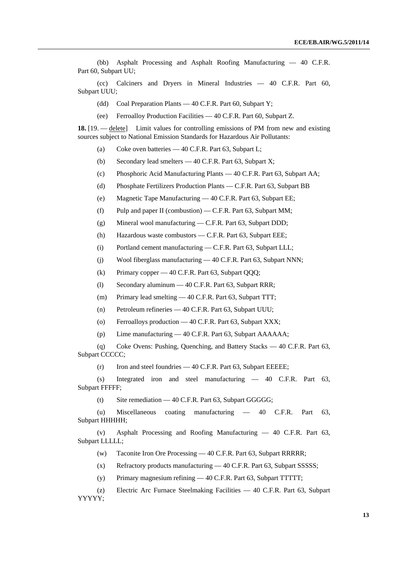(bb) Asphalt Processing and Asphalt Roofing Manufacturing — 40 C.F.R. Part 60, Subpart UU;

 (cc) Calciners and Dryers in Mineral Industries — 40 C.F.R. Part 60, Subpart UUU;

- (dd) Coal Preparation Plants 40 C.F.R. Part 60, Subpart Y;
- (ee) Ferroalloy Production Facilities 40 C.F.R. Part 60, Subpart Z.

**18.** [19. — delete] Limit values for controlling emissions of PM from new and existing sources subject to National Emission Standards for Hazardous Air Pollutants:

- (a) Coke oven batteries 40 C.F.R. Part 63, Subpart L;
- (b) Secondary lead smelters 40 C.F.R. Part 63, Subpart X;
- (c) Phosphoric Acid Manufacturing Plants 40 C.F.R. Part 63, Subpart AA;
- (d) Phosphate Fertilizers Production Plants C.F.R. Part 63, Subpart BB
- (e) Magnetic Tape Manufacturing 40 C.F.R. Part 63, Subpart EE;
- (f) Pulp and paper II (combustion) C.F.R. Part 63, Subpart MM;
- (g) Mineral wool manufacturing C.F.R. Part 63, Subpart DDD;
- (h) Hazardous waste combustors C.F.R. Part 63, Subpart EEE;
- (i) Portland cement manufacturing C.F.R. Part 63, Subpart LLL;
- (j) Wool fiberglass manufacturing 40 C.F.R. Part 63, Subpart NNN;
- (k) Primary copper 40 C.F.R. Part 63, Subpart QQQ;
- (l) Secondary aluminum 40 C.F.R. Part 63, Subpart RRR;
- (m) Primary lead smelting 40 C.F.R. Part 63, Subpart TTT;
- (n) Petroleum refineries 40 C.F.R. Part 63, Subpart UUU;
- (o) Ferroalloys production 40 C.F.R. Part 63, Subpart XXX;
- (p) Lime manufacturing 40 C.F.R. Part 63, Subpart AAAAAA;

 (q) Coke Ovens: Pushing, Quenching, and Battery Stacks — 40 C.F.R. Part 63, Subpart CCCCC;

(r) Iron and steel foundries — 40 C.F.R. Part 63, Subpart EEEEE;

 (s) Integrated iron and steel manufacturing — 40 C.F.R. Part 63, Subpart FFFFF;

(t) Site remediation — 40 C.F.R. Part 63, Subpart GGGGG;

 (u) Miscellaneous coating manufacturing — 40 C.F.R. Part 63, Subpart HHHHH;

 (v) Asphalt Processing and Roofing Manufacturing — 40 C.F.R. Part 63, Subpart LLLLL;

- (w) Taconite Iron Ore Processing 40 C.F.R. Part 63, Subpart RRRRR;
- (x) Refractory products manufacturing 40 C.F.R. Part 63, Subpart SSSSS;
- (y) Primary magnesium refining 40 C.F.R. Part 63, Subpart TTTTT;
- (z) Electric Arc Furnace Steelmaking Facilities 40 C.F.R. Part 63, Subpart YYYYY;